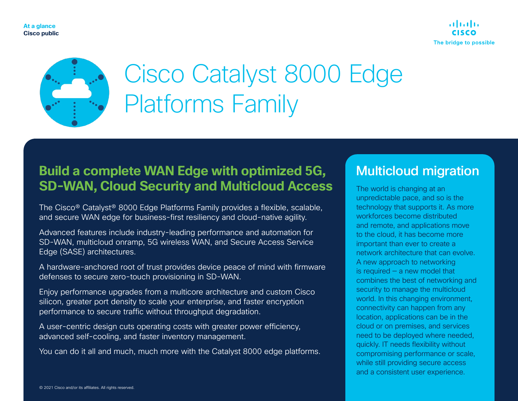



# Cisco Catalyst 8000 Edge Platforms Family

# **Build a complete WAN Edge with optimized 5G, SD-WAN, Cloud Security and Multicloud Access**

The Cisco® Catalyst® 8000 Edge Platforms Family provides a flexible, scalable, and secure WAN edge for business-first resiliency and cloud-native agility.

Advanced features include industry-leading performance and automation for SD-WAN, multicloud onramp, 5G wireless WAN, and Secure Access Service Edge (SASE) architectures.

A hardware-anchored root of trust provides device peace of mind with firmware defenses to secure zero-touch provisioning in SD-WAN.

Enjoy performance upgrades from a multicore architecture and custom Cisco silicon, greater port density to scale your enterprise, and faster encryption performance to secure traffic without throughput degradation.

A user-centric design cuts operating costs with greater power efficiency, advanced self-cooling, and faster inventory management.

You can do it all and much, much more with the Catalyst 8000 edge platforms.

# Multicloud migration

The world is changing at an unpredictable pace, and so is the technology that supports it. As more workforces become distributed and remote, and applications move to the cloud, it has become more important than ever to create a network architecture that can evolve. A new approach to networking is required — a new model that combines the best of networking and security to manage the multicloud world. In this changing environment, connectivity can happen from any location, applications can be in the cloud or on premises, and services need to be deployed where needed, quickly. IT needs flexibility without compromising performance or scale, while still providing secure access and a consistent user experience.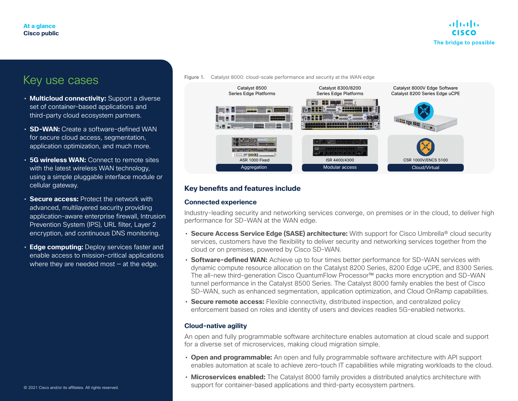### Key use cases

- **Multicloud connectivity:** Support a diverse set of container-based applications and third-party cloud ecosystem partners.
- **SD-WAN:** Create a software-defined WAN for secure cloud access, segmentation, application optimization, and much more.
- **5G wireless WAN:** Connect to remote sites with the latest wireless WAN technology, using a simple pluggable interface module or cellular gateway.
- **Secure access:** Protect the network with advanced, multilayered security providing application-aware enterprise firewall, Intrusion Prevention System (IPS), URL filter, Layer 2 encryption, and continuous DNS monitoring.
- **Edge computing:** Deploy services faster and enable access to mission-critical applications where they are needed most — at the edge.

Figure 1. Catalyst 8000: cloud-scale performance and security at the WAN edge



#### **Key benefts and features include**

#### **Connected experience**

Industry-leading security and networking services converge, on premises or in the cloud, to deliver high performance for SD-WAN at the WAN edge.

- **Secure Access Service Edge (SASE) architecture:** With support for Cisco Umbrella® cloud security services, customers have the flexibility to deliver security and networking services together from the cloud or on premises, powered by Cisco SD-WAN.
- **Software-defined WAN:** Achieve up to four times better performance for SD-WAN services with dynamic compute resource allocation on the Catalyst 8200 Series, 8200 Edge uCPE, and 8300 Series. The all-new third-generation Cisco QuantumFlow Processor™ packs more encryption and SD-WAN tunnel performance in the Catalyst 8500 Series. The Catalyst 8000 family enables the best of Cisco SD-WAN, such as enhanced segmentation, application optimization, and Cloud OnRamp capabilities.
- **Secure remote access:** Flexible connectivity, distributed inspection, and centralized policy enforcement based on roles and identity of users and devices readies 5G-enabled networks.

#### **Cloud-native agility**

An open and fully programmable software architecture enables automation at cloud scale and support for a diverse set of microservices, making cloud migration simple.

- **Open and programmable:** An open and fully programmable software architecture with API support enables automation at scale to achieve zero-touch IT capabilities while migrating workloads to the cloud.
- **Microservices enabled:** The Catalyst 8000 family provides a distributed analytics architecture with support for container-based applications and third-party ecosystem partners.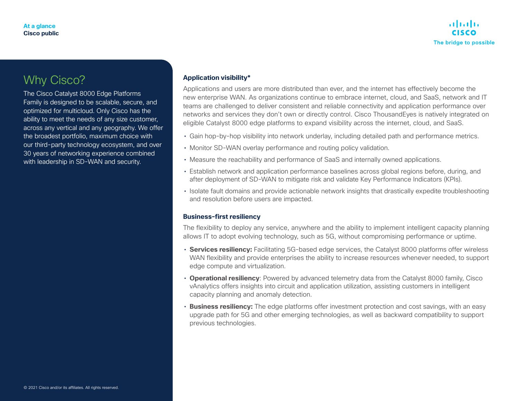

### Why Cisco?

The Cisco Catalyst 8000 Edge Platforms Family is designed to be scalable, secure, and optimized for multicloud. Only Cisco has the ability to meet the needs of any size customer, across any vertical and any geography. We offer the broadest portfolio, maximum choice with our third-party technology ecosystem, and over 30 years of networking experience combined with leadership in SD-WAN and security.

#### **Application visibility\***

Applications and users are more distributed than ever, and the internet has effectively become the new enterprise WAN. As organizations continue to embrace internet, cloud, and SaaS, network and IT teams are challenged to deliver consistent and reliable connectivity and application performance over networks and services they don't own or directly control. Cisco ThousandEyes is natively integrated on eligible Catalyst 8000 edge platforms to expand visibility across the internet, cloud, and SaaS.

- Gain hop-by-hop visibility into network underlay, including detailed path and performance metrics.
- Monitor SD-WAN overlay performance and routing policy validation.
- Measure the reachability and performance of SaaS and internally owned applications.
- Establish network and application performance baselines across global regions before, during, and after deployment of SD-WAN to mitigate risk and validate Key Performance Indicators (KPIs).
- Isolate fault domains and provide actionable network insights that drastically expedite troubleshooting and resolution before users are impacted.

#### **Business-first resiliency**

The flexibility to deploy any service, anywhere and the ability to implement intelligent capacity planning allows IT to adopt evolving technology, such as 5G, without compromising performance or uptime.

- **Services resiliency:** Facilitating 5G-based edge services, the Catalyst 8000 platforms offer wireless WAN flexibility and provide enterprises the ability to increase resources whenever needed, to support edge compute and virtualization.
- **Operational resiliency**: Powered by advanced telemetry data from the Catalyst 8000 family, Cisco vAnalytics offers insights into circuit and application utilization, assisting customers in intelligent capacity planning and anomaly detection.
- **Business resiliency:** The edge platforms offer investment protection and cost savings, with an easy upgrade path for 5G and other emerging technologies, as well as backward compatibility to support previous technologies.